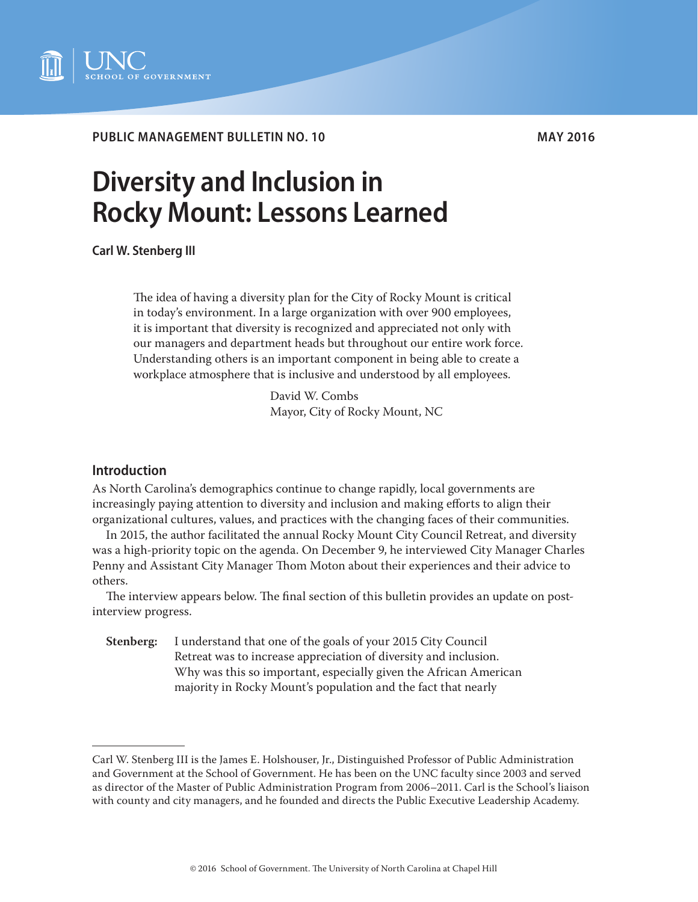

# **PUBLIC MANAGEMENT BULLETIN NO. 10 MAY 2016**

# **Diversity and Inclusion in Rocky Mount: Lessons Learned**

**Carl W. Stenberg III**

The idea of having a diversity plan for the City of Rocky Mount is critical in today's environment. In a large organization with over 900 employees, it is important that diversity is recognized and appreciated not only with our managers and department heads but throughout our entire work force. Understanding others is an important component in being able to create a workplace atmosphere that is inclusive and understood by all employees.

> David W. Combs Mayor, City of Rocky Mount, NC

# **Introduction**

As North Carolina's demographics continue to change rapidly, local governments are increasingly paying attention to diversity and inclusion and making efforts to align their organizational cultures, values, and practices with the changing faces of their communities.

In 2015, the author facilitated the annual Rocky Mount City Council Retreat, and diversity was a high-priority topic on the agenda. On December 9, he interviewed City Manager Charles Penny and Assistant City Manager Thom Moton about their experiences and their advice to others.

The interview appears below. The final section of this bulletin provides an update on postinterview progress.

**Stenberg:** I understand that one of the goals of your 2015 City Council Retreat was to increase appreciation of diversity and inclusion. Why was this so important, especially given the African American majority in Rocky Mount's population and the fact that nearly

Carl W. Stenberg III is the James E. Holshouser, Jr., Distinguished Professor of Public Administration and Government at the School of Government. He has been on the UNC faculty since 2003 and served as director of the Master of Public Administration Program from 2006–2011. Carl is the School's liaison with county and city managers, and he founded and directs the Public Executive Leadership Academy.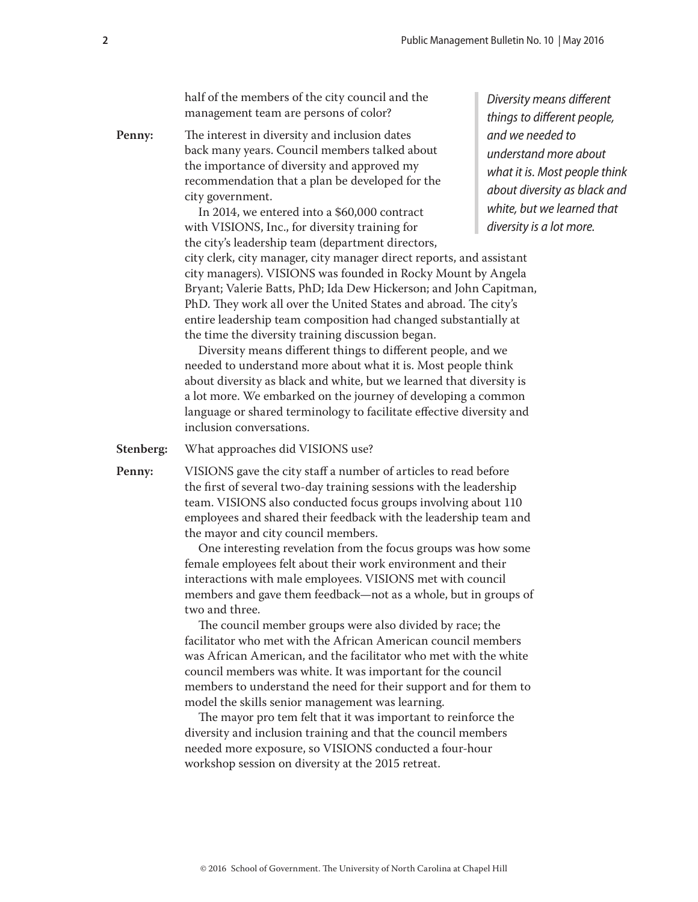half of the members of the city council and the management team are persons of color?

**Penny:** The interest in diversity and inclusion dates back many years. Council members talked about the importance of diversity and approved my recommendation that a plan be developed for the city government.

> In 2014, we entered into a \$60,000 contract with VISIONS, Inc., for diversity training for the city's leadership team (department directors, city clerk, city manager, city manager direct reports, and assistant city managers). VISIONS was founded in Rocky Mount by Angela Bryant; Valerie Batts, PhD; Ida Dew Hickerson; and John Capitman, PhD. They work all over the United States and abroad. The city's entire leadership team composition had changed substantially at the time the diversity training discussion began.

Diversity means different things to different people, and we needed to understand more about what it is. Most people think about diversity as black and white, but we learned that diversity is a lot more. We embarked on the journey of developing a common language or shared terminology to facilitate effective diversity and inclusion conversations.

**Stenberg:** What approaches did VISIONS use?

**Penny:** VISIONS gave the city staff a number of articles to read before the first of several two-day training sessions with the leadership team. VISIONS also conducted focus groups involving about 110 employees and shared their feedback with the leadership team and the mayor and city council members.

> One interesting revelation from the focus groups was how some female employees felt about their work environment and their interactions with male employees. VISIONS met with council members and gave them feedback—not as a whole, but in groups of two and three.

> The council member groups were also divided by race; the facilitator who met with the African American council members was African American, and the facilitator who met with the white council members was white. It was important for the council members to understand the need for their support and for them to model the skills senior management was learning.

The mayor pro tem felt that it was important to reinforce the diversity and inclusion training and that the council members needed more exposure, so VISIONS conducted a four-hour workshop session on diversity at the 2015 retreat.

*Diversity means different things to different people, and we needed to understand more about what it is. Most people think about diversity as black and white, but we learned that diversity is a lot more.*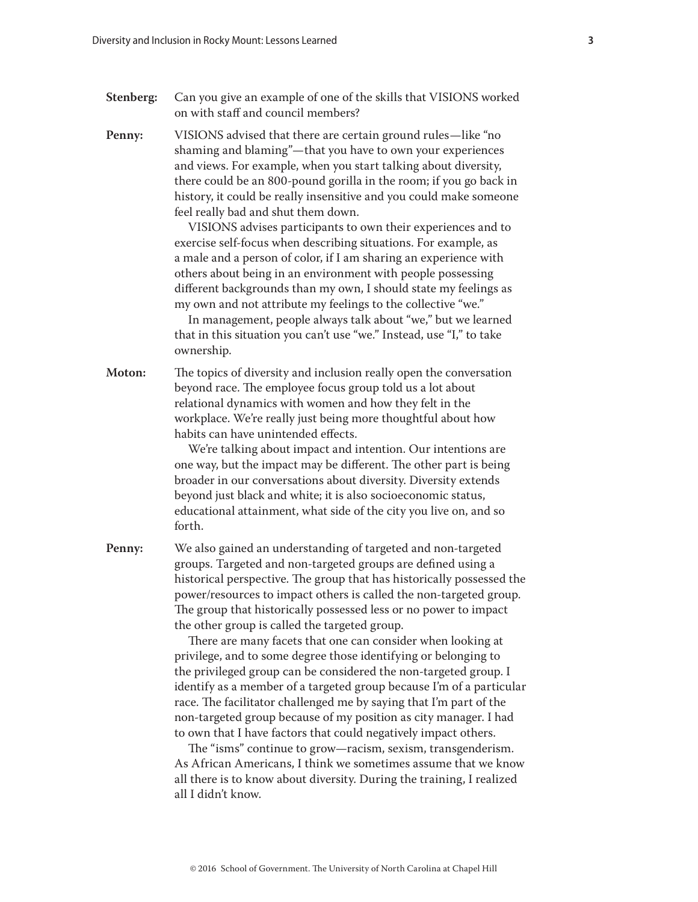- **Stenberg:** Can you give an example of one of the skills that VISIONS worked on with staff and council members?
- **Penny:** VISIONS advised that there are certain ground rules—like "no shaming and blaming"—that you have to own your experiences and views. For example, when you start talking about diversity, there could be an 800-pound gorilla in the room; if you go back in history, it could be really insensitive and you could make someone feel really bad and shut them down.

VISIONS advises participants to own their experiences and to exercise self-focus when describing situations. For example, as a male and a person of color, if I am sharing an experience with others about being in an environment with people possessing different backgrounds than my own, I should state my feelings as my own and not attribute my feelings to the collective "we."

In management, people always talk about "we," but we learned that in this situation you can't use "we." Instead, use "I," to take ownership.

**Moton:** The topics of diversity and inclusion really open the conversation beyond race. The employee focus group told us a lot about relational dynamics with women and how they felt in the workplace. We're really just being more thoughtful about how habits can have unintended effects.

> We're talking about impact and intention. Our intentions are one way, but the impact may be different. The other part is being broader in our conversations about diversity. Diversity extends beyond just black and white; it is also socioeconomic status, educational attainment, what side of the city you live on, and so forth.

**Penny:** We also gained an understanding of targeted and non-targeted groups. Targeted and non-targeted groups are defined using a historical perspective. The group that has historically possessed the power/resources to impact others is called the non-targeted group. The group that historically possessed less or no power to impact the other group is called the targeted group.

> There are many facets that one can consider when looking at privilege, and to some degree those identifying or belonging to the privileged group can be considered the non-targeted group. I identify as a member of a targeted group because I'm of a particular race. The facilitator challenged me by saying that I'm part of the non-targeted group because of my position as city manager. I had to own that I have factors that could negatively impact others.

> The "isms" continue to grow—racism, sexism, transgenderism. As African Americans, I think we sometimes assume that we know all there is to know about diversity. During the training, I realized all I didn't know.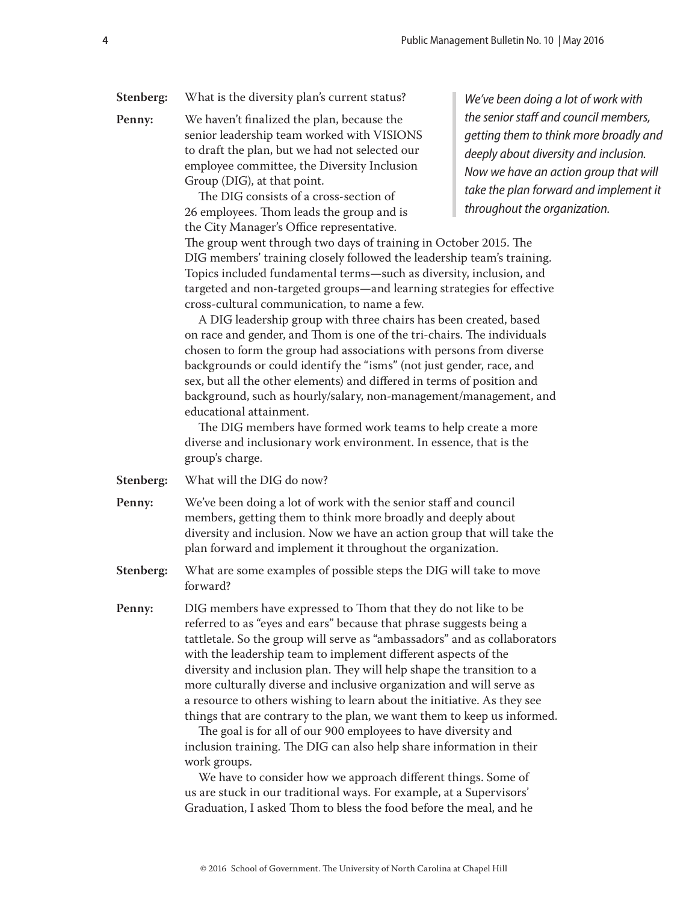### **Stenberg:** What is the diversity plan's current status?

**Penny:** We haven't finalized the plan, because the senior leadership team worked with VISIONS to draft the plan, but we had not selected our employee committee, the Diversity Inclusion Group (DIG), at that point.

> The DIG consists of a cross-section of 26 employees. Thom leads the group and is the City Manager's Office representative.

*We've been doing a lot of work with the senior staff and council members, getting them to think more broadly and deeply about diversity and inclusion. Now we have an action group that will take the plan forward and implement it throughout the organization.*

The group went through two days of training in October 2015. The DIG members' training closely followed the leadership team's training. Topics included fundamental terms—such as diversity, inclusion, and targeted and non-targeted groups—and learning strategies for effective cross-cultural communication, to name a few.

A DIG leadership group with three chairs has been created, based on race and gender, and Thom is one of the tri-chairs. The individuals chosen to form the group had associations with persons from diverse backgrounds or could identify the "isms" (not just gender, race, and sex, but all the other elements) and differed in terms of position and background, such as hourly/salary, non-management/management, and educational attainment.

The DIG members have formed work teams to help create a more diverse and inclusionary work environment. In essence, that is the group's charge.

**Stenberg:** What will the DIG do now?

**Penny:** We've been doing a lot of work with the senior staff and council members, getting them to think more broadly and deeply about diversity and inclusion. Now we have an action group that will take the plan forward and implement it throughout the organization.

**Stenberg:** What are some examples of possible steps the DIG will take to move forward?

**Penny:** DIG members have expressed to Thom that they do not like to be referred to as "eyes and ears" because that phrase suggests being a tattletale. So the group will serve as "ambassadors" and as collaborators with the leadership team to implement different aspects of the diversity and inclusion plan. They will help shape the transition to a more culturally diverse and inclusive organization and will serve as a resource to others wishing to learn about the initiative. As they see things that are contrary to the plan, we want them to keep us informed.

> The goal is for all of our 900 employees to have diversity and inclusion training. The DIG can also help share information in their work groups.

We have to consider how we approach different things. Some of us are stuck in our traditional ways. For example, at a Supervisors' Graduation, I asked Thom to bless the food before the meal, and he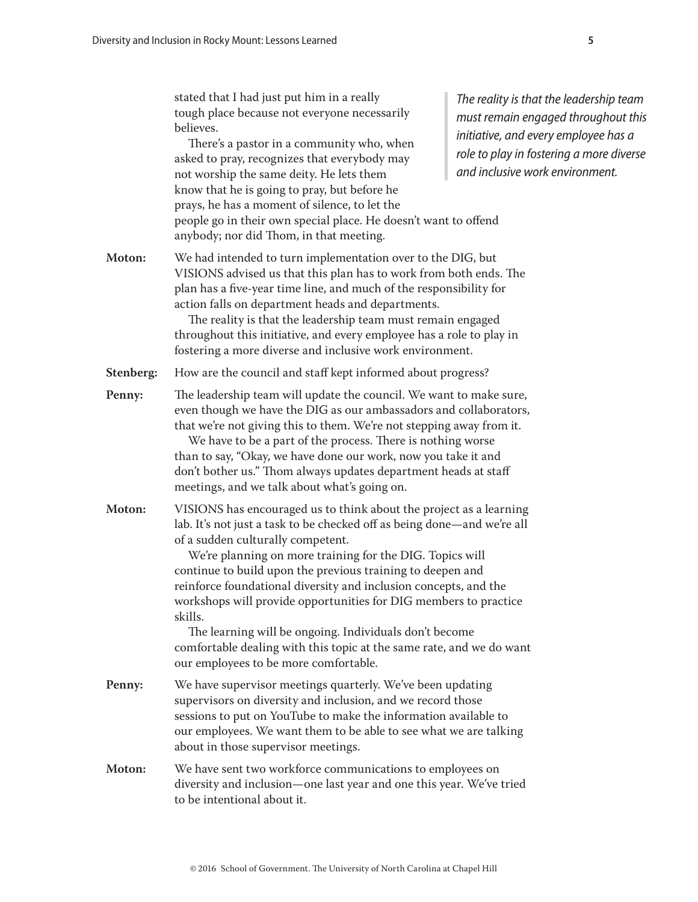|           | stated that I had just put him in a really<br>tough place because not everyone necessarily<br>believes.<br>There's a pastor in a community who, when<br>asked to pray, recognizes that everybody may<br>not worship the same deity. He lets them<br>know that he is going to pray, but before he<br>prays, he has a moment of silence, to let the<br>people go in their own special place. He doesn't want to offend<br>anybody; nor did Thom, in that meeting.                                                                                                                                                                            | The reality is that the leadership team<br>must remain engaged throughout this<br>initiative, and every employee has a<br>role to play in fostering a more diverse<br>and inclusive work environment. |
|-----------|--------------------------------------------------------------------------------------------------------------------------------------------------------------------------------------------------------------------------------------------------------------------------------------------------------------------------------------------------------------------------------------------------------------------------------------------------------------------------------------------------------------------------------------------------------------------------------------------------------------------------------------------|-------------------------------------------------------------------------------------------------------------------------------------------------------------------------------------------------------|
| Moton:    | We had intended to turn implementation over to the DIG, but<br>VISIONS advised us that this plan has to work from both ends. The<br>plan has a five-year time line, and much of the responsibility for<br>action falls on department heads and departments.<br>The reality is that the leadership team must remain engaged<br>throughout this initiative, and every employee has a role to play in<br>fostering a more diverse and inclusive work environment.                                                                                                                                                                             |                                                                                                                                                                                                       |
| Stenberg: | How are the council and staff kept informed about progress?                                                                                                                                                                                                                                                                                                                                                                                                                                                                                                                                                                                |                                                                                                                                                                                                       |
| Penny:    | The leadership team will update the council. We want to make sure,<br>even though we have the DIG as our ambassadors and collaborators,<br>that we're not giving this to them. We're not stepping away from it.<br>We have to be a part of the process. There is nothing worse<br>than to say, "Okay, we have done our work, now you take it and<br>don't bother us." Thom always updates department heads at staff<br>meetings, and we talk about what's going on.                                                                                                                                                                        |                                                                                                                                                                                                       |
| Moton:    | VISIONS has encouraged us to think about the project as a learning<br>lab. It's not just a task to be checked off as being done-and we're all<br>of a sudden culturally competent.<br>We're planning on more training for the DIG. Topics will<br>continue to build upon the previous training to deepen and<br>reinforce foundational diversity and inclusion concepts, and the<br>workshops will provide opportunities for DIG members to practice<br>skills.<br>The learning will be ongoing. Individuals don't become<br>comfortable dealing with this topic at the same rate, and we do want<br>our employees to be more comfortable. |                                                                                                                                                                                                       |
| Penny:    | We have supervisor meetings quarterly. We've been updating<br>supervisors on diversity and inclusion, and we record those<br>sessions to put on YouTube to make the information available to<br>our employees. We want them to be able to see what we are talking<br>about in those supervisor meetings.                                                                                                                                                                                                                                                                                                                                   |                                                                                                                                                                                                       |
| Moton:    | We have sent two workforce communications to employees on<br>diversity and inclusion-one last year and one this year. We've tried<br>to be intentional about it.                                                                                                                                                                                                                                                                                                                                                                                                                                                                           |                                                                                                                                                                                                       |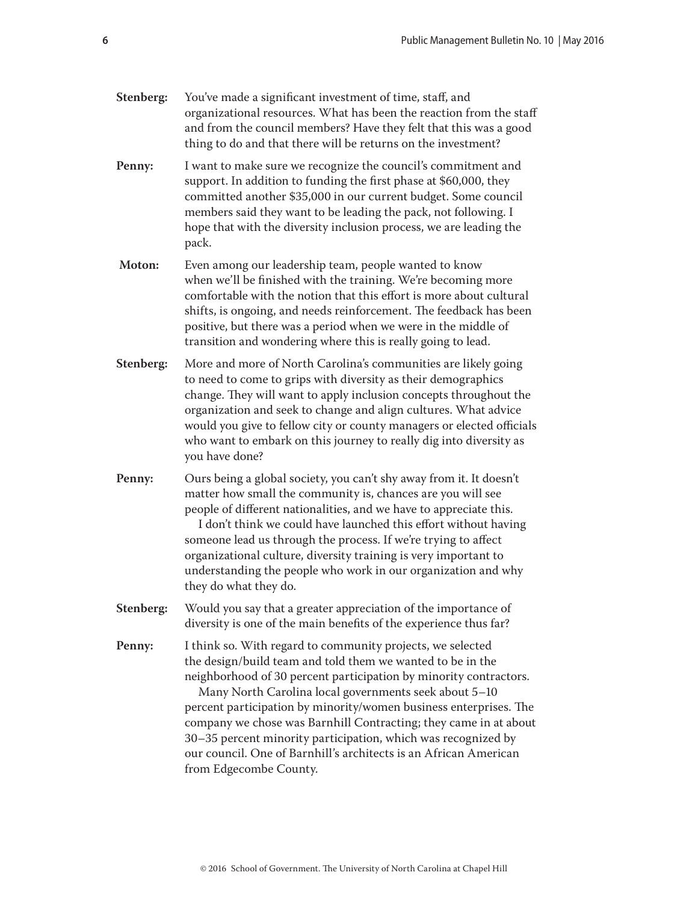| Stenberg: | More and more of North Carolina's communities are likely going<br>to need to come to grips with diversity as their demographics<br>change. They will want to apply inclusion concepts throughout the<br>organization and seek to change and align cultures. What advice<br>would you give to fellow city or county managers or elected officials<br>who want to embark on this journey to really dig into diversity as<br>you have done?                                                                                                                       |  |
|-----------|----------------------------------------------------------------------------------------------------------------------------------------------------------------------------------------------------------------------------------------------------------------------------------------------------------------------------------------------------------------------------------------------------------------------------------------------------------------------------------------------------------------------------------------------------------------|--|
| Penny:    | Ours being a global society, you can't shy away from it. It doesn't<br>matter how small the community is, chances are you will see<br>people of different nationalities, and we have to appreciate this.<br>I don't think we could have launched this effort without having<br>someone lead us through the process. If we're trying to affect<br>organizational culture, diversity training is very important to<br>understanding the people who work in our organization and why<br>they do what they do.                                                     |  |
| Stenberg: | Would you say that a greater appreciation of the importance of<br>diversity is one of the main benefits of the experience thus far?                                                                                                                                                                                                                                                                                                                                                                                                                            |  |
| Penny:    | I think so. With regard to community projects, we selected<br>the design/build team and told them we wanted to be in the<br>neighborhood of 30 percent participation by minority contractors.<br>Many North Carolina local governments seek about 5-10<br>percent participation by minority/women business enterprises. The<br>company we chose was Barnhill Contracting; they came in at about<br>30-35 percent minority participation, which was recognized by<br>our council. One of Barnhill's architects is an African American<br>from Edgecombe County. |  |
|           | © 2016 School of Government. The University of North Carolina at Chapel Hill                                                                                                                                                                                                                                                                                                                                                                                                                                                                                   |  |

**Penny:** I want to make sure we recognize the council's commitment and

**Moton:** Even among our leadership team, people wanted to know

support. In addition to funding the first phase at \$60,000, they committed another \$35,000 in our current budget. Some council members said they want to be leading the pack, not following. I hope that with the diversity inclusion process, we are leading the

when we'll be finished with the training. We're becoming more comfortable with the notion that this effort is more about cultural shifts, is ongoing, and needs reinforcement. The feedback has been positive, but there was a period when we were in the middle of transition and wondering where this is really going to lead.

pack.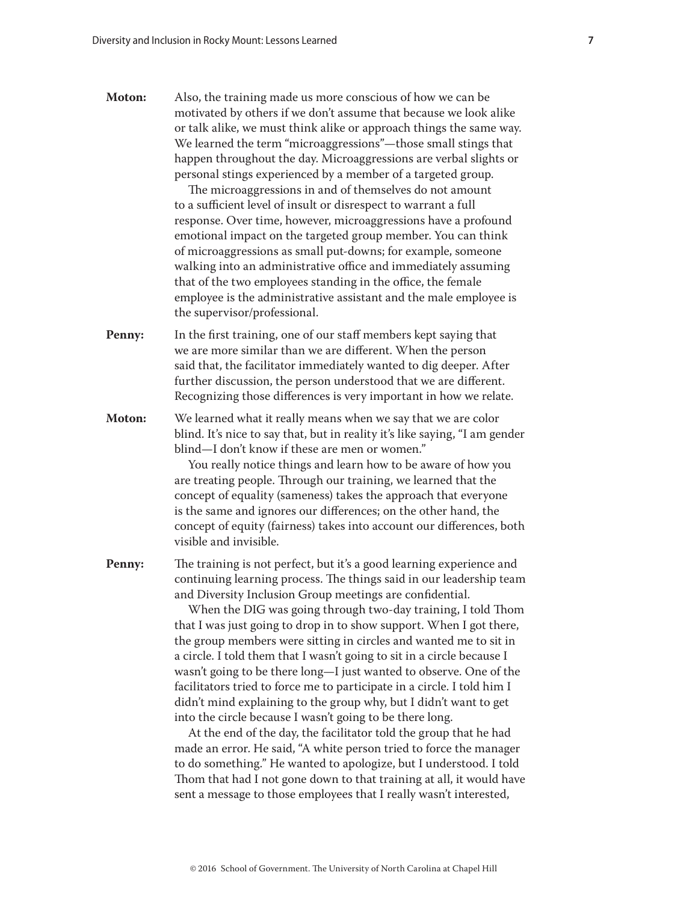**Moton:** Also, the training made us more conscious of how we can be motivated by others if we don't assume that because we look alike or talk alike, we must think alike or approach things the same way. We learned the term "microaggressions"—those small stings that happen throughout the day. Microaggressions are verbal slights or personal stings experienced by a member of a targeted group.

> The microaggressions in and of themselves do not amount to a sufficient level of insult or disrespect to warrant a full response. Over time, however, microaggressions have a profound emotional impact on the targeted group member. You can think of microaggressions as small put-downs; for example, someone walking into an administrative office and immediately assuming that of the two employees standing in the office, the female employee is the administrative assistant and the male employee is the supervisor/professional.

- **Penny:** In the first training, one of our staff members kept saying that we are more similar than we are different. When the person said that, the facilitator immediately wanted to dig deeper. After further discussion, the person understood that we are different. Recognizing those differences is very important in how we relate.
- **Moton:** We learned what it really means when we say that we are color blind. It's nice to say that, but in reality it's like saying, "I am gender blind—I don't know if these are men or women."

You really notice things and learn how to be aware of how you are treating people. Through our training, we learned that the concept of equality (sameness) takes the approach that everyone is the same and ignores our differences; on the other hand, the concept of equity (fairness) takes into account our differences, both visible and invisible.

**Penny:** The training is not perfect, but it's a good learning experience and continuing learning process. The things said in our leadership team and Diversity Inclusion Group meetings are confidential.

> When the DIG was going through two-day training, I told Thom that I was just going to drop in to show support. When I got there, the group members were sitting in circles and wanted me to sit in a circle. I told them that I wasn't going to sit in a circle because I wasn't going to be there long—I just wanted to observe. One of the facilitators tried to force me to participate in a circle. I told him I didn't mind explaining to the group why, but I didn't want to get into the circle because I wasn't going to be there long.

> At the end of the day, the facilitator told the group that he had made an error. He said, "A white person tried to force the manager to do something." He wanted to apologize, but I understood. I told Thom that had I not gone down to that training at all, it would have sent a message to those employees that I really wasn't interested,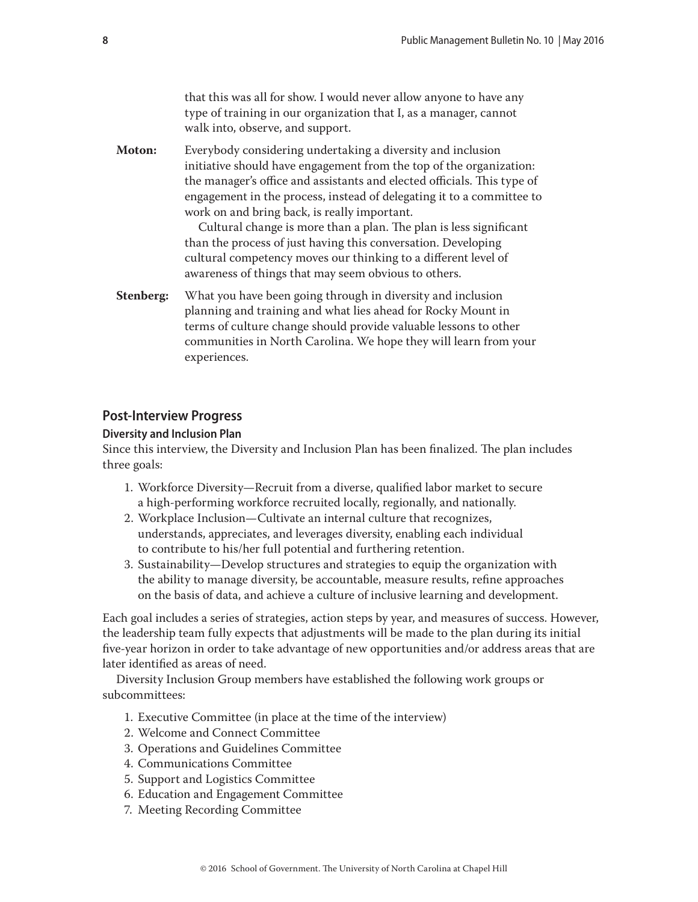that this was all for show. I would never allow anyone to have any type of training in our organization that I, as a manager, cannot walk into, observe, and support.

<span id="page-7-0"></span>**Moton:** Everybody considering undertaking a diversity and inclusion initiative should have engagement from the top of the organization: the manager's office and assistants and elected officials. This type of engagement in the process, instead of delegating it to a committee to work on and bring back, is really important.

> Cultural change is more than a plan. The plan is less significant than the process of just having this conversation. Developing cultural competency moves our thinking to a different level of awareness of things that may seem obvious to others.

**Stenberg:** What you have been going through in diversity and inclusion planning and training and what lies ahead for Rocky Mount in terms of culture change should provide valuable lessons to other communities in North Carolina. We hope they will learn from your experiences.

## **Post-Interview Progress**

#### **Diversity and Inclusion Plan**

Since this interview, the Diversity and Inclusion Plan has been finalized. The plan includes three goals:

- 1. Workforce Diversity—Recruit from a diverse, qualified labor market to secure a high-performing workforce recruited locally, regionally, and nationally.
- 2. Workplace Inclusion—Cultivate an internal culture that recognizes, understands, appreciates, and leverages diversity, enabling each individual to contribute to his/her full potential and furthering retention.
- 3. Sustainability—Develop structures and strategies to equip the organization with the ability to manage diversity, be accountable, measure results, refine approaches on the basis of data, and achieve a culture of inclusive learning and development.

Each goal includes a series of strategies, action steps by year, and measures of success. However, the leadership team fully expects that adjustments will be made to the plan during its initial five-year horizon in order to take advantage of new opportunities and/or address areas that are later identified as areas of need.

Diversity Inclusion Group members have established the following work groups or subcommittees:

- 1. Executive Committee (in place at the time of the interview)
- 2. Welcome and Connect Committee
- 3. Operations and Guidelines Committee
- 4. Communications Committee
- 5. Support and Logistics Committee
- 6. Education and Engagement Committee
- 7. Meeting Recording Committee